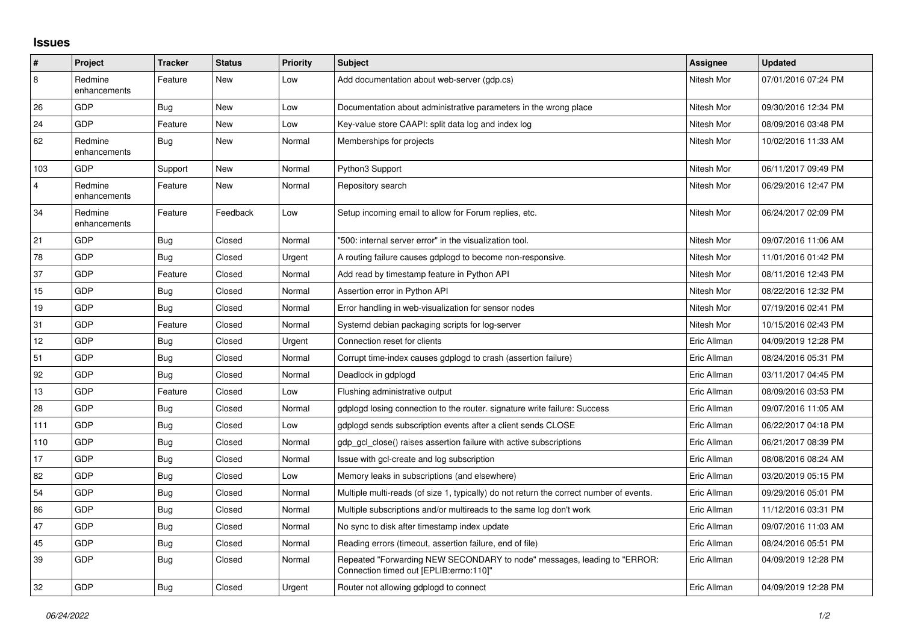## **Issues**

| #   | Project                 | <b>Tracker</b> | <b>Status</b> | <b>Priority</b> | <b>Subject</b>                                                                                                        | Assignee    | <b>Updated</b>      |
|-----|-------------------------|----------------|---------------|-----------------|-----------------------------------------------------------------------------------------------------------------------|-------------|---------------------|
| 8   | Redmine<br>enhancements | Feature        | New           | Low             | Add documentation about web-server (gdp.cs)                                                                           | Nitesh Mor  | 07/01/2016 07:24 PM |
| 26  | GDP                     | <b>Bug</b>     | <b>New</b>    | Low             | Documentation about administrative parameters in the wrong place                                                      | Nitesh Mor  | 09/30/2016 12:34 PM |
| 24  | GDP                     | Feature        | New           | Low             | Key-value store CAAPI: split data log and index log                                                                   | Nitesh Mor  | 08/09/2016 03:48 PM |
| 62  | Redmine<br>enhancements | <b>Bug</b>     | New           | Normal          | Memberships for projects                                                                                              | Nitesh Mor  | 10/02/2016 11:33 AM |
| 103 | GDP                     | Support        | New           | Normal          | Python3 Support                                                                                                       | Nitesh Mor  | 06/11/2017 09:49 PM |
| 4   | Redmine<br>enhancements | Feature        | New           | Normal          | Repository search                                                                                                     | Nitesh Mor  | 06/29/2016 12:47 PM |
| 34  | Redmine<br>enhancements | Feature        | Feedback      | Low             | Setup incoming email to allow for Forum replies, etc.                                                                 | Nitesh Mor  | 06/24/2017 02:09 PM |
| 21  | GDP                     | Bug            | Closed        | Normal          | '500: internal server error" in the visualization tool.                                                               | Nitesh Mor  | 09/07/2016 11:06 AM |
| 78  | GDP                     | Bug            | Closed        | Urgent          | A routing failure causes gdplogd to become non-responsive.                                                            | Nitesh Mor  | 11/01/2016 01:42 PM |
| 37  | GDP                     | Feature        | Closed        | Normal          | Add read by timestamp feature in Python API                                                                           | Nitesh Mor  | 08/11/2016 12:43 PM |
| 15  | GDP                     | <b>Bug</b>     | Closed        | Normal          | Assertion error in Python API                                                                                         | Nitesh Mor  | 08/22/2016 12:32 PM |
| 19  | GDP                     | Bug            | Closed        | Normal          | Error handling in web-visualization for sensor nodes                                                                  | Nitesh Mor  | 07/19/2016 02:41 PM |
| 31  | GDP                     | Feature        | Closed        | Normal          | Systemd debian packaging scripts for log-server                                                                       | Nitesh Mor  | 10/15/2016 02:43 PM |
| 12  | GDP                     | Bug            | Closed        | Urgent          | Connection reset for clients                                                                                          | Eric Allman | 04/09/2019 12:28 PM |
| 51  | GDP                     | Bug            | Closed        | Normal          | Corrupt time-index causes gdplogd to crash (assertion failure)                                                        | Eric Allman | 08/24/2016 05:31 PM |
| 92  | GDP                     | Bug            | Closed        | Normal          | Deadlock in gdplogd                                                                                                   | Eric Allman | 03/11/2017 04:45 PM |
| 13  | GDP                     | Feature        | Closed        | Low             | Flushing administrative output                                                                                        | Eric Allman | 08/09/2016 03:53 PM |
| 28  | GDP                     | <b>Bug</b>     | Closed        | Normal          | gdplogd losing connection to the router. signature write failure: Success                                             | Eric Allman | 09/07/2016 11:05 AM |
| 111 | GDP                     | Bug            | Closed        | Low             | gdplogd sends subscription events after a client sends CLOSE                                                          | Eric Allman | 06/22/2017 04:18 PM |
| 110 | GDP                     | Bug            | Closed        | Normal          | gdp_gcl_close() raises assertion failure with active subscriptions                                                    | Eric Allman | 06/21/2017 08:39 PM |
| 17  | GDP                     | Bug            | Closed        | Normal          | Issue with gcl-create and log subscription                                                                            | Eric Allman | 08/08/2016 08:24 AM |
| 82  | GDP                     | Bug            | Closed        | Low             | Memory leaks in subscriptions (and elsewhere)                                                                         | Eric Allman | 03/20/2019 05:15 PM |
| 54  | GDP                     | Bug            | Closed        | Normal          | Multiple multi-reads (of size 1, typically) do not return the correct number of events.                               | Eric Allman | 09/29/2016 05:01 PM |
| 86  | GDP                     | Bug            | Closed        | Normal          | Multiple subscriptions and/or multireads to the same log don't work                                                   | Eric Allman | 11/12/2016 03:31 PM |
| 47  | <b>GDP</b>              | Bug            | Closed        | Normal          | No sync to disk after timestamp index update                                                                          | Eric Allman | 09/07/2016 11:03 AM |
| 45  | GDP                     | Bug            | Closed        | Normal          | Reading errors (timeout, assertion failure, end of file)                                                              | Eric Allman | 08/24/2016 05:51 PM |
| 39  | GDP                     | <b>Bug</b>     | Closed        | Normal          | Repeated "Forwarding NEW SECONDARY to node" messages, leading to "ERROR:<br>Connection timed out [EPLIB: errno: 110]" | Eric Allman | 04/09/2019 12:28 PM |
| 32  | GDP                     | Bug            | Closed        | Urgent          | Router not allowing gdplogd to connect                                                                                | Eric Allman | 04/09/2019 12:28 PM |